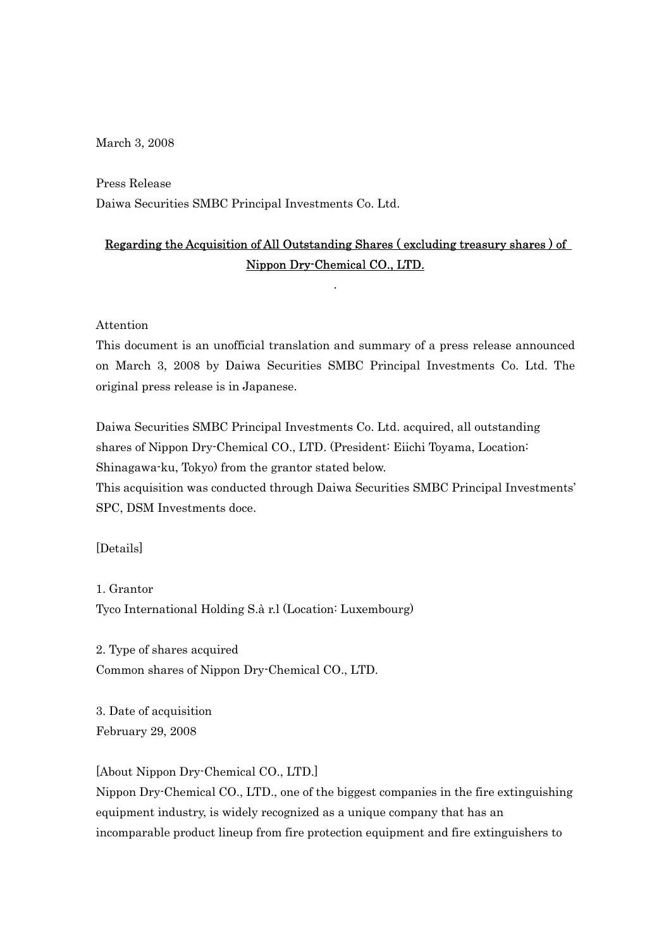March 3, 2008

Press Release Daiwa Securities SMBC Principal Investments Co. Ltd.

## Regarding the Acquisition of All Outstanding Shares ( excluding treasury shares ) of Nippon Dry-Chemical CO., LTD.

.

Attention

This document is an unofficial translation and summary of a press release announced on March 3, 2008 by Daiwa Securities SMBC Principal Investments Co. Ltd. The original press release is in Japanese.

Daiwa Securities SMBC Principal Investments Co. Ltd. acquired, all outstanding shares of Nippon Dry-Chemical CO., LTD. (President: Eiichi Toyama, Location: Shinagawa-ku, Tokyo) from the grantor stated below.

This acquisition was conducted through Daiwa Securities SMBC Principal Investments' SPC, DSM Investments doce.

[Details]

1. Grantor Tyco International Holding S.à r.l (Location: Luxembourg)

2. Type of shares acquired Common shares of Nippon Dry-Chemical CO., LTD.

3. Date of acquisition February 29, 2008

[About Nippon Dry-Chemical CO., LTD.]

Nippon Dry-Chemical CO., LTD., one of the biggest companies in the fire extinguishing equipment industry, is widely recognized as a unique company that has an incomparable product lineup from fire protection equipment and fire extinguishers to